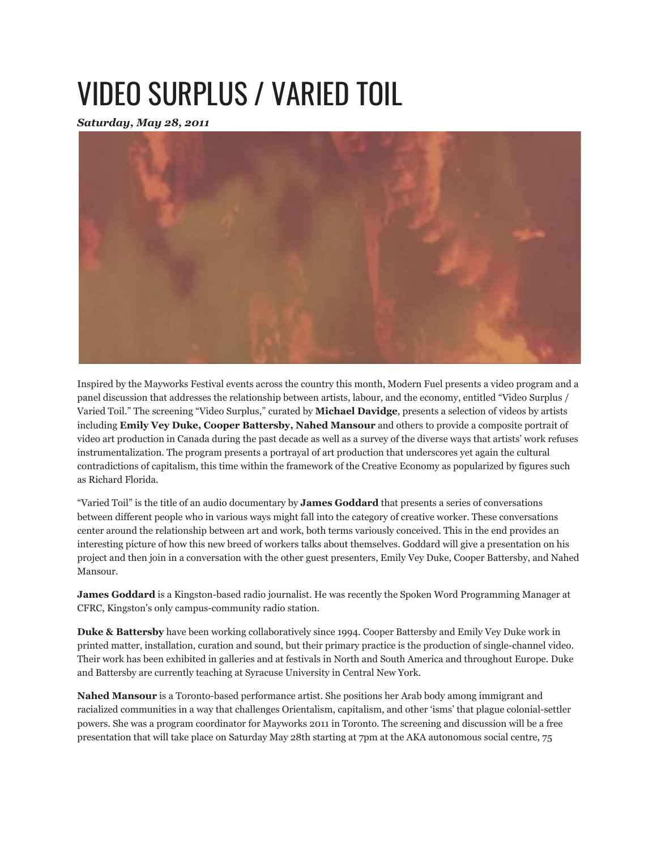## VIDEO SURPLUS / VARIED TOIL

*Saturday, May 28, 2011*



Inspired by the Mayworks Festival events across the country this month, Modern Fuel presents a video program and a panel discussion that addresses the relationship between artists, labour, and the economy, entitled "Video Surplus / Varied Toil." The screening "Video Surplus," curated by **Michael Davidge**, presents a selection of videos by artists including **Emily Vey Duke, Cooper Battersby, Nahed Mansour** and others to provide a composite portrait of video art production in Canada during the past decade as well as a survey of the diverse ways that artists' work refuses instrumentalization. The program presents a portrayal of art production that underscores yet again the cultural contradictions of capitalism, this time within the framework of the Creative Economy as popularized by figures such as Richard Florida.

"Varied Toil" is the title of an audio documentary by **James Goddard** that presents a series of conversations between different people who in various ways might fall into the category of creative worker. These conversations center around the relationship between art and work, both terms variously conceived. This in the end provides an interesting picture of how this new breed of workers talks about themselves. Goddard will give a presentation on his project and then join in a conversation with the other guest presenters, Emily Vey Duke, Cooper Battersby, and Nahed Mansour.

**James Goddard** is a Kingston-based radio journalist. He was recently the Spoken Word Programming Manager at CFRC, Kingston's only campus-community radio station.

**Duke & Battersby** have been working collaboratively since 1994. Cooper Battersby and Emily Vey Duke work in printed matter, installation, curation and sound, but their primary practice is the production of single-channel video. Their work has been exhibited in galleries and at festivals in North and South America and throughout Europe. Duke and Battersby are currently teaching at Syracuse University in Central New York.

**Nahed Mansour** is a Toronto-based performance artist. She positions her Arab body among immigrant and racialized communities in a way that challenges Orientalism, capitalism, and other 'isms' that plague colonial-settler powers. She was a program coordinator for Mayworks 2011 in Toronto. The screening and discussion will be a free presentation that will take place on Saturday May 28th starting at 7pm at the AKA autonomous social centre, 75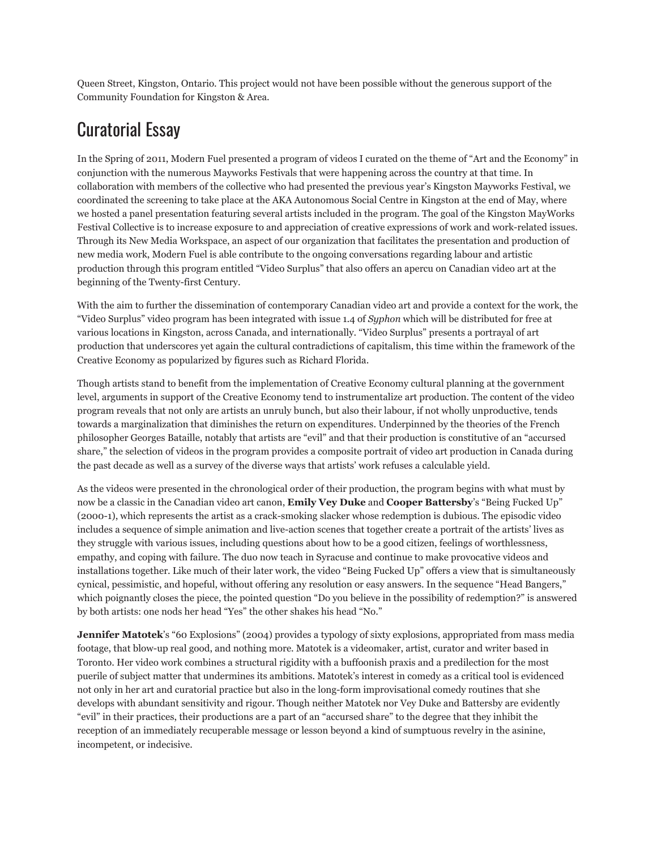Queen Street, Kingston, Ontario. This project would not have been possible without the generous support of the Community Foundation for Kingston & Area.

## Curatorial Essay

In the Spring of 2011, Modern Fuel presented a program of videos I curated on the theme of "Art and the Economy" in conjunction with the numerous Mayworks Festivals that were happening across the country at that time. In collaboration with members of the collective who had presented the previous year's Kingston Mayworks Festival, we coordinated the screening to take place at the AKA Autonomous Social Centre in Kingston at the end of May, where we hosted a panel presentation featuring several artists included in the program. The goal of the Kingston MayWorks Festival Collective is to increase exposure to and appreciation of creative expressions of work and work-related issues. Through its New Media Workspace, an aspect of our organization that facilitates the presentation and production of new media work, Modern Fuel is able contribute to the ongoing conversations regarding labour and artistic production through this program entitled "Video Surplus" that also offers an apercu on Canadian video art at the beginning of the Twenty-first Century.

With the aim to further the dissemination of contemporary Canadian video art and provide a context for the work, the "Video Surplus" video program has been integrated with issue 1.4 of *Syphon* which will be distributed for free at various locations in Kingston, across Canada, and internationally. "Video Surplus" presents a portrayal of art production that underscores yet again the cultural contradictions of capitalism, this time within the framework of the Creative Economy as popularized by figures such as Richard Florida.

Though artists stand to benefit from the implementation of Creative Economy cultural planning at the government level, arguments in support of the Creative Economy tend to instrumentalize art production. The content of the video program reveals that not only are artists an unruly bunch, but also their labour, if not wholly unproductive, tends towards a marginalization that diminishes the return on expenditures. Underpinned by the theories of the French philosopher Georges Bataille, notably that artists are "evil" and that their production is constitutive of an "accursed share," the selection of videos in the program provides a composite portrait of video art production in Canada during the past decade as well as a survey of the diverse ways that artists' work refuses a calculable yield.

As the videos were presented in the chronological order of their production, the program begins with what must by now be a classic in the Canadian video art canon, **Emily Vey Duke** and **Cooper Battersby**'s "Being Fucked Up" (2000-1), which represents the artist as a crack-smoking slacker whose redemption is dubious. The episodic video includes a sequence of simple animation and live-action scenes that together create a portrait of the artists' lives as they struggle with various issues, including questions about how to be a good citizen, feelings of worthlessness, empathy, and coping with failure. The duo now teach in Syracuse and continue to make provocative videos and installations together. Like much of their later work, the video "Being Fucked Up" offers a view that is simultaneously cynical, pessimistic, and hopeful, without offering any resolution or easy answers. In the sequence "Head Bangers," which poignantly closes the piece, the pointed question "Do you believe in the possibility of redemption?" is answered by both artists: one nods her head "Yes" the other shakes his head "No."

**Jennifer Matotek**'s "60 Explosions" (2004) provides a typology of sixty explosions, appropriated from mass media footage, that blow-up real good, and nothing more. Matotek is a videomaker, artist, curator and writer based in Toronto. Her video work combines a structural rigidity with a buffoonish praxis and a predilection for the most puerile of subject matter that undermines its ambitions. Matotek's interest in comedy as a critical tool is evidenced not only in her art and curatorial practice but also in the long-form improvisational comedy routines that she develops with abundant sensitivity and rigour. Though neither Matotek nor Vey Duke and Battersby are evidently "evil" in their practices, their productions are a part of an "accursed share" to the degree that they inhibit the reception of an immediately recuperable message or lesson beyond a kind of sumptuous revelry in the asinine, incompetent, or indecisive.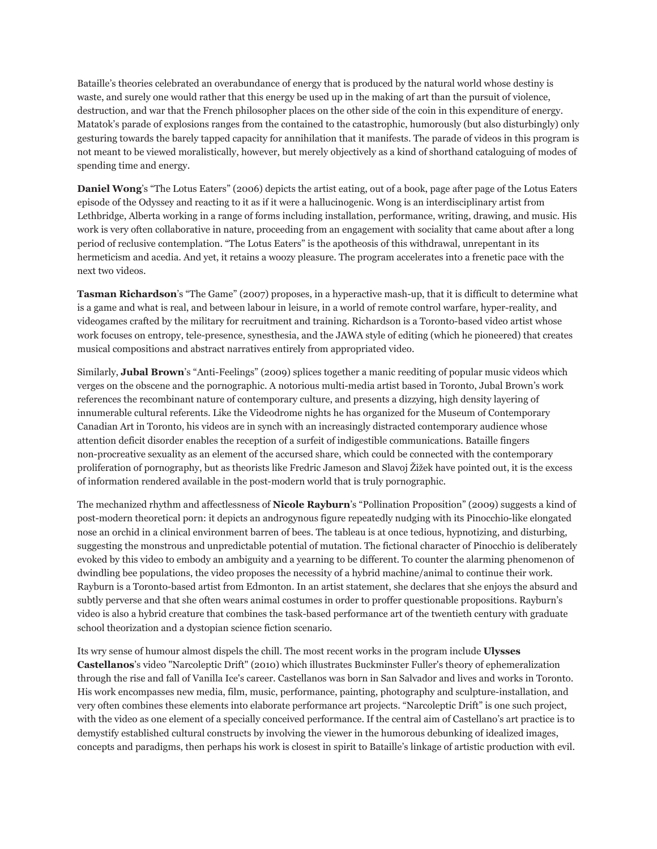Bataille's theories celebrated an overabundance of energy that is produced by the natural world whose destiny is waste, and surely one would rather that this energy be used up in the making of art than the pursuit of violence, destruction, and war that the French philosopher places on the other side of the coin in this expenditure of energy. Matatok's parade of explosions ranges from the contained to the catastrophic, humorously (but also disturbingly) only gesturing towards the barely tapped capacity for annihilation that it manifests. The parade of videos in this program is not meant to be viewed moralistically, however, but merely objectively as a kind of shorthand cataloguing of modes of spending time and energy.

**Daniel Wong**'s "The Lotus Eaters" (2006) depicts the artist eating, out of a book, page after page of the Lotus Eaters episode of the Odyssey and reacting to it as if it were a hallucinogenic. Wong is an interdisciplinary artist from Lethbridge, Alberta working in a range of forms including installation, performance, writing, drawing, and music. His work is very often collaborative in nature, proceeding from an engagement with sociality that came about after a long period of reclusive contemplation. "The Lotus Eaters" is the apotheosis of this withdrawal, unrepentant in its hermeticism and acedia. And yet, it retains a woozy pleasure. The program accelerates into a frenetic pace with the next two videos.

**Tasman Richardson**'s "The Game" (2007) proposes, in a hyperactive mash-up, that it is difficult to determine what is a game and what is real, and between labour in leisure, in a world of remote control warfare, hyper-reality, and videogames crafted by the military for recruitment and training. Richardson is a Toronto-based video artist whose work focuses on entropy, tele-presence, synesthesia, and the JAWA style of editing (which he pioneered) that creates musical compositions and abstract narratives entirely from appropriated video.

Similarly, **Jubal Brown**'s "Anti-Feelings" (2009) splices together a manic reediting of popular music videos which verges on the obscene and the pornographic. A notorious multi-media artist based in Toronto, Jubal Brown's work references the recombinant nature of contemporary culture, and presents a dizzying, high density layering of innumerable cultural referents. Like the Videodrome nights he has organized for the Museum of Contemporary Canadian Art in Toronto, his videos are in synch with an increasingly distracted contemporary audience whose attention deficit disorder enables the reception of a surfeit of indigestible communications. Bataille fingers non-procreative sexuality as an element of the accursed share, which could be connected with the contemporary proliferation of pornography, but as theorists like Fredric Jameson and Slavoj Žižek have pointed out, it is the excess of information rendered available in the post-modern world that is truly pornographic.

The mechanized rhythm and affectlessness of **Nicole Rayburn**'s "Pollination Proposition" (2009) suggests a kind of post-modern theoretical porn: it depicts an androgynous figure repeatedly nudging with its Pinocchio-like elongated nose an orchid in a clinical environment barren of bees. The tableau is at once tedious, hypnotizing, and disturbing, suggesting the monstrous and unpredictable potential of mutation. The fictional character of Pinocchio is deliberately evoked by this video to embody an ambiguity and a yearning to be different. To counter the alarming phenomenon of dwindling bee populations, the video proposes the necessity of a hybrid machine/animal to continue their work. Rayburn is a Toronto-based artist from Edmonton. In an artist statement, she declares that she enjoys the absurd and subtly perverse and that she often wears animal costumes in order to proffer questionable propositions. Rayburn's video is also a hybrid creature that combines the task-based performance art of the twentieth century with graduate school theorization and a dystopian science fiction scenario.

Its wry sense of humour almost dispels the chill. The most recent works in the program include **Ulysses Castellanos**'s video "Narcoleptic Drift" (2010) which illustrates Buckminster Fuller's theory of ephemeralization through the rise and fall of Vanilla Ice's career. Castellanos was born in San Salvador and lives and works in Toronto. His work encompasses new media, film, music, performance, painting, photography and sculpture-installation, and very often combines these elements into elaborate performance art projects. "Narcoleptic Drift" is one such project, with the video as one element of a specially conceived performance. If the central aim of Castellano's art practice is to demystify established cultural constructs by involving the viewer in the humorous debunking of idealized images, concepts and paradigms, then perhaps his work is closest in spirit to Bataille's linkage of artistic production with evil.